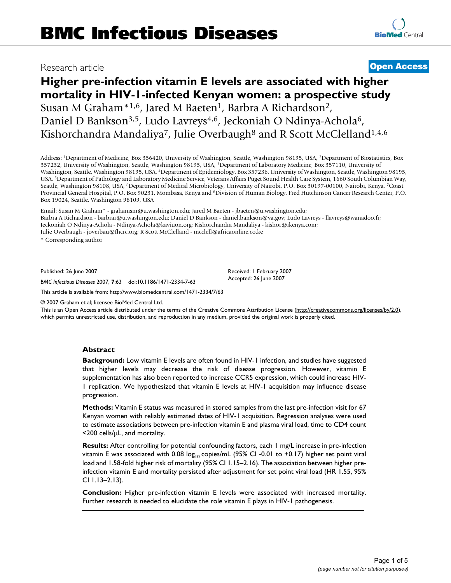# Research article **[Open Access](http://www.biomedcentral.com/info/about/charter/)**

# **Higher pre-infection vitamin E levels are associated with higher mortality in HIV-1-infected Kenyan women: a prospective study** Susan M Graham<sup>\*1,6</sup>, Jared M Baeten<sup>1</sup>, Barbra A Richardson<sup>2</sup>, Daniel D Bankson<sup>3,5</sup>, Ludo Lavreys<sup>4,6</sup>, Jeckoniah O Ndinya-Achola<sup>6</sup>, Kishorchandra Mandaliya<sup>7</sup>, Julie Overbaugh<sup>8</sup> and R Scott McClelland<sup>1,4,6</sup>

Address: 1Department of Medicine, Box 356420, University of Washington, Seattle, Washington 98195, USA, 2Department of Biostatistics, Box 357232, University of Washington, Seattle, Washington 98195, USA, 3Department of Laboratory Medicine, Box 357110, University of Washington, Seattle, Washington 98195, USA, 4Department of Epidemiology, Box 357236, University of Washington, Seattle, Washington 98195, USA, 5Department of Pathology and Laboratory Medicine Service, Veterans Affairs Puget Sound Health Care System, 1660 South Columbian Way, Seattle, Washington 98108, USA, 6Department of Medical Microbiology, University of Nairobi, P.O. Box 30197-00100, Nairobi, Kenya, 7Coast Provincial General Hospital, P.O. Box 90231, Mombasa, Kenya and 8Division of Human Biology, Fred Hutchinson Cancer Research Center, P.O. Box 19024, Seattle, Washington 98109, USA

Email: Susan M Graham\* - grahamsm@u.washington.edu; Jared M Baeten - jbaeten@u.washington.edu; Barbra A Richardson - barbrar@u.washington.edu; Daniel D Bankson - daniel.bankson@va.gov; Ludo Lavreys - llavreys@wanadoo.fr; Jeckoniah O Ndinya-Achola - Ndinya-Achola@kaviuon.org; Kishorchandra Mandaliya - kishor@ikenya.com; Julie Overbaugh - joverbau@fhcrc.org; R Scott McClelland - mcclell@africaonline.co.ke

\* Corresponding author

Published: 26 June 2007

Received: 1 February 2007 Accepted: 26 June 2007

[This article is available from: http://www.biomedcentral.com/1471-2334/7/63](http://www.biomedcentral.com/1471-2334/7/63)

*BMC Infectious Diseases* 2007, **7**:63 doi:10.1186/1471-2334-7-63

© 2007 Graham et al; licensee BioMed Central Ltd.

This is an Open Access article distributed under the terms of the Creative Commons Attribution License [\(http://creativecommons.org/licenses/by/2.0\)](http://creativecommons.org/licenses/by/2.0), which permits unrestricted use, distribution, and reproduction in any medium, provided the original work is properly cited.

#### **Abstract**

**Background:** Low vitamin E levels are often found in HIV-1 infection, and studies have suggested that higher levels may decrease the risk of disease progression. However, vitamin E supplementation has also been reported to increase CCR5 expression, which could increase HIV-1 replication. We hypothesized that vitamin E levels at HIV-1 acquisition may influence disease progression.

**Methods:** Vitamin E status was measured in stored samples from the last pre-infection visit for 67 Kenyan women with reliably estimated dates of HIV-1 acquisition. Regression analyses were used to estimate associations between pre-infection vitamin E and plasma viral load, time to CD4 count  $<$ 200 cells/ $\mu$ L, and mortality.

**Results:** After controlling for potential confounding factors, each 1 mg/L increase in pre-infection vitamin E was associated with 0.08  $log_{10}$  copies/mL (95% CI -0.01 to +0.17) higher set point viral load and 1.58-fold higher risk of mortality (95% CI 1.15–2.16). The association between higher preinfection vitamin E and mortality persisted after adjustment for set point viral load (HR 1.55, 95% CI 1.13–2.13).

**Conclusion:** Higher pre-infection vitamin E levels were associated with increased mortality. Further research is needed to elucidate the role vitamin E plays in HIV-1 pathogenesis.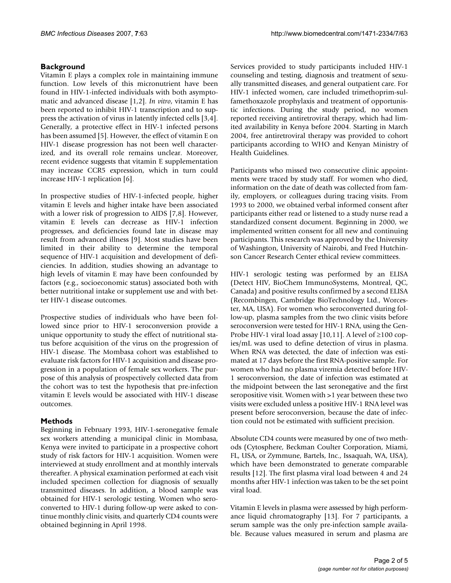# **Background**

Vitamin E plays a complex role in maintaining immune function. Low levels of this micronutrient have been found in HIV-1-infected individuals with both asymptomatic and advanced disease [1,2]. *In vitro*, vitamin E has been reported to inhibit HIV-1 transcription and to suppress the activation of virus in latently infected cells [3,4]. Generally, a protective effect in HIV-1 infected persons has been assumed [5]. However, the effect of vitamin E on HIV-1 disease progression has not been well characterized, and its overall role remains unclear. Moreover, recent evidence suggests that vitamin E supplementation may increase CCR5 expression, which in turn could increase HIV-1 replication [6].

In prospective studies of HIV-1-infected people, higher vitamin E levels and higher intake have been associated with a lower risk of progression to AIDS [7,8]. However, vitamin E levels can decrease as HIV-1 infection progresses, and deficiencies found late in disease may result from advanced illness [9]. Most studies have been limited in their ability to determine the temporal sequence of HIV-1 acquisition and development of deficiencies. In addition, studies showing an advantage to high levels of vitamin E may have been confounded by factors (e.g., socioeconomic status) associated both with better nutritional intake or supplement use and with better HIV-1 disease outcomes.

Prospective studies of individuals who have been followed since prior to HIV-1 seroconversion provide a unique opportunity to study the effect of nutritional status before acquisition of the virus on the progression of HIV-1 disease. The Mombasa cohort was established to evaluate risk factors for HIV-1 acquisition and disease progression in a population of female sex workers. The purpose of this analysis of prospectively collected data from the cohort was to test the hypothesis that pre-infection vitamin E levels would be associated with HIV-1 disease outcomes.

# **Methods**

Beginning in February 1993, HIV-1-seronegative female sex workers attending a municipal clinic in Mombasa, Kenya were invited to participate in a prospective cohort study of risk factors for HIV-1 acquisition. Women were interviewed at study enrollment and at monthly intervals thereafter. A physical examination performed at each visit included specimen collection for diagnosis of sexually transmitted diseases. In addition, a blood sample was obtained for HIV-1 serologic testing. Women who seroconverted to HIV-1 during follow-up were asked to continue monthly clinic visits, and quarterly CD4 counts were obtained beginning in April 1998.

Services provided to study participants included HIV-1 counseling and testing, diagnosis and treatment of sexually transmitted diseases, and general outpatient care. For HIV-1 infected women, care included trimethoprim-sulfamethoxazole prophylaxis and treatment of opportunistic infections. During the study period, no women reported receiving antiretroviral therapy, which had limited availability in Kenya before 2004. Starting in March 2004, free antiretroviral therapy was provided to cohort participants according to WHO and Kenyan Ministry of Health Guidelines.

Participants who missed two consecutive clinic appointments were traced by study staff. For women who died, information on the date of death was collected from family, employers, or colleagues during tracing visits. From 1993 to 2000, we obtained verbal informed consent after participants either read or listened to a study nurse read a standardized consent document. Beginning in 2000, we implemented written consent for all new and continuing participants. This research was approved by the University of Washington, University of Nairobi, and Fred Hutchinson Cancer Research Center ethical review committees.

HIV-1 serologic testing was performed by an ELISA (Detect HIV, BioChem ImmunoSystems, Montreal, QC, Canada) and positive results confirmed by a second ELISA (Recombingen, Cambridge BioTechnology Ltd., Worcester, MA, USA). For women who seroconverted during follow-up, plasma samples from the two clinic visits before seroconversion were tested for HIV-1 RNA, using the Gen-Probe HIV-1 viral load assay [10,11]. A level of ≥100 copies/mL was used to define detection of virus in plasma. When RNA was detected, the date of infection was estimated at 17 days before the first RNA-positive sample. For women who had no plasma viremia detected before HIV-1 seroconversion, the date of infection was estimated at the midpoint between the last seronegative and the first seropositive visit. Women with >1 year between these two visits were excluded unless a positive HIV-1 RNA level was present before seroconversion, because the date of infection could not be estimated with sufficient precision.

Absolute CD4 counts were measured by one of two methods (Cytosphere, Beckman Coulter Corporation, Miami, FL, USA, or Zymmune, Bartels, Inc., Issaquah, WA, USA), which have been demonstrated to generate comparable results [12]. The first plasma viral load between 4 and 24 months after HIV-1 infection was taken to be the set point viral load.

Vitamin E levels in plasma were assessed by high performance liquid chromatography [13]. For 7 participants, a serum sample was the only pre-infection sample available. Because values measured in serum and plasma are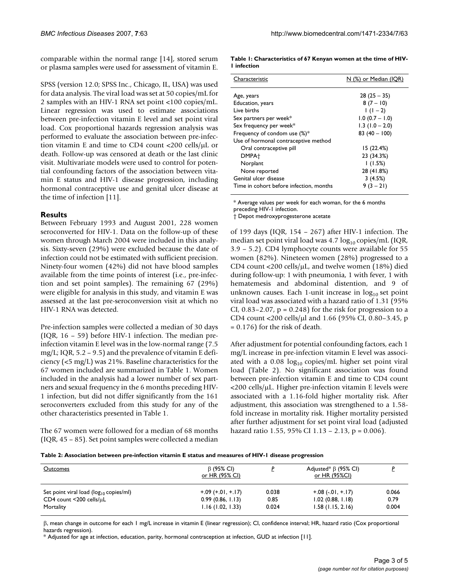comparable within the normal range [14], stored serum or plasma samples were used for assessment of vitamin E.

SPSS (version 12.0; SPSS Inc., Chicago, IL, USA) was used for data analysis. The viral load was set at 50 copies/mL for 2 samples with an HIV-1 RNA set point <100 copies/mL. Linear regression was used to estimate associations between pre-infection vitamin E level and set point viral load. Cox proportional hazards regression analysis was performed to evaluate the association between pre-infection vitamin E and time to CD4 count <200 cells/µL or death. Follow-up was censored at death or the last clinic visit. Multivariate models were used to control for potential confounding factors of the association between vitamin E status and HIV-1 disease progression, including hormonal contraceptive use and genital ulcer disease at the time of infection [11].

# **Results**

Between February 1993 and August 2001, 228 women seroconverted for HIV-1. Data on the follow-up of these women through March 2004 were included in this analysis. Sixty-seven (29%) were excluded because the date of infection could not be estimated with sufficient precision. Ninety-four women (42%) did not have blood samples available from the time points of interest (i.e., pre-infection and set point samples). The remaining 67 (29%) were eligible for analysis in this study, and vitamin E was assessed at the last pre-seroconversion visit at which no HIV-1 RNA was detected.

Pre-infection samples were collected a median of 30 days (IQR, 16 – 59) before HIV-1 infection. The median preinfection vitamin E level was in the low-normal range (7.5 mg/L; IQR,  $5.2 - 9.5$ ) and the prevalence of vitamin E deficiency (<5 mg/L) was 21%. Baseline characteristics for the 67 women included are summarized in Table 1. Women included in the analysis had a lower number of sex partners and sexual frequency in the 6 months preceding HIV-1 infection, but did not differ significantly from the 161 seroconverters excluded from this study for any of the other characteristics presented in Table 1.

The 67 women were followed for a median of 68 months (IQR, 45 – 85). Set point samples were collected a median

**Table 1: Characteristics of 67 Kenyan women at the time of HIV-1 infection**

| Characteristic                          | <u>N (%) or Median (IOR)</u> |  |
|-----------------------------------------|------------------------------|--|
| Age, years                              | $28(25 - 35)$                |  |
| Education, years                        | $8(7 - 10)$                  |  |
| I ive births                            | $1(1-2)$                     |  |
| Sex partners per week*                  | $1.0 (0.7 - 1.0)$            |  |
| Sex frequency per week*                 | $1.3(1.0 - 2.0)$             |  |
| Frequency of condom use $(\%)^*$        | $83(40 - 100)$               |  |
| Use of hormonal contraceptive method    |                              |  |
| Oral contraceptive pill                 | 15(22.4%)                    |  |
| DMPA <sup>+</sup>                       | 23 (34.3%)                   |  |
| Norplant                                | (1.5%)                       |  |
| None reported                           | 28 (41.8%)                   |  |
| Genital ulcer disease                   | 3(4.5%)                      |  |
| Time in cohort before infection, months | $9(3-21)$                    |  |

\* Average values per week for each woman, for the 6 months preceding HIV-1 infection.

† Depot medroxyprogesterone acetate

of 199 days (IQR, 154 – 267) after HIV-1 infection. The median set point viral load was  $4.7 \log_{10}$  copies/mL (IQR, 3.9 – 5.2). CD4 lymphocyte counts were available for 55 women (82%). Nineteen women (28%) progressed to a CD4 count <200 cells/µL, and twelve women (18%) died during follow-up: 1 with pneumonia, 1 with fever, 1 with hematemesis and abdominal distention, and 9 of unknown causes. Each 1-unit increase in  $log_{10}$  set point viral load was associated with a hazard ratio of 1.31 (95% CI,  $0.83-2.07$ ,  $p = 0.248$ ) for the risk for progression to a CD4 count <200 cells/µl and 1.66 (95% CI, 0.80–3.45, p = 0.176) for the risk of death.

After adjustment for potential confounding factors, each 1 mg/L increase in pre-infection vitamin E level was associated with a 0.08  $log_{10}$  copies/mL higher set point viral load (Table 2). No significant association was found between pre-infection vitamin E and time to CD4 count <200 cells/µL. Higher pre-infection vitamin E levels were associated with a 1.16-fold higher mortality risk. After adjustment, this association was strengthened to a 1.58 fold increase in mortality risk. Higher mortality persisted after further adjustment for set point viral load (adjusted hazard ratio 1.55, 95% CI 1.13 – 2.13, p = 0.006).

|  |  | Table 2: Association between pre-infection vitamin E status and measures of HIV-I disease progression |  |
|--|--|-------------------------------------------------------------------------------------------------------|--|
|--|--|-------------------------------------------------------------------------------------------------------|--|

| <b>Outcomes</b>                              | $\beta$ (95% CI)<br><u>or HR (95% CI)</u> |       | Adjusted* $\beta$ (95% CI)<br><u>or HR (95%CI)</u> |       |
|----------------------------------------------|-------------------------------------------|-------|----------------------------------------------------|-------|
| Set point viral load ( $log_{10}$ copies/ml) | $+.09$ (+.01, +.17)                       | 0.038 | $+.08(-.01,+.17)$                                  | 0.066 |
| $CD4$ count $\leq 200$ cells/ $\mu$ L        | 0.99(0.86, 1.13)                          | 0.85  | $1.02$ (0.88, $1.18$ )                             | 0.79  |
| Mortality                                    | 1.16(1.02, 1.33)                          | 0.024 | $1.58$ (1.15, 2.16)                                | 0.004 |

β, mean change in outcome for each 1 mg/L increase in vitamin E (linear regression); CI, confidence interval; HR, hazard ratio (Cox proportional hazards regression).

\* Adjusted for age at infection, education, parity, hormonal contraception at infection, GUD at infection [11].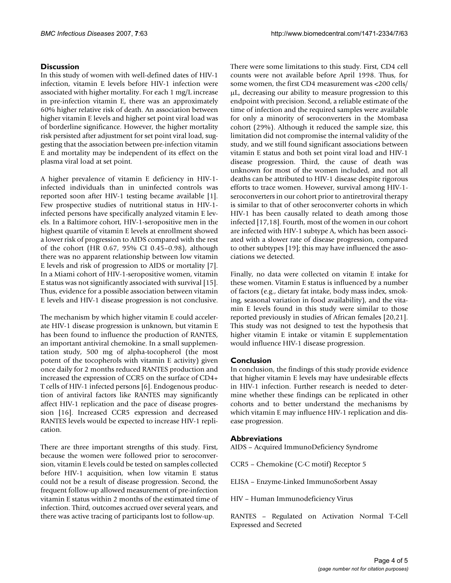# **Discussion**

In this study of women with well-defined dates of HIV-1 infection, vitamin E levels before HIV-1 infection were associated with higher mortality. For each 1 mg/L increase in pre-infection vitamin E, there was an approximately 60% higher relative risk of death. An association between higher vitamin E levels and higher set point viral load was of borderline significance. However, the higher mortality risk persisted after adjustment for set point viral load, suggesting that the association between pre-infection vitamin E and mortality may be independent of its effect on the plasma viral load at set point.

A higher prevalence of vitamin E deficiency in HIV-1 infected individuals than in uninfected controls was reported soon after HIV-1 testing became available [1]. Few prospective studies of nutritional status in HIV-1 infected persons have specifically analyzed vitamin E levels. In a Baltimore cohort, HIV-1-seropositive men in the highest quartile of vitamin E levels at enrollment showed a lower risk of progression to AIDS compared with the rest of the cohort (HR 0.67, 95% CI 0.45–0.98), although there was no apparent relationship between low vitamin E levels and risk of progression to AIDS or mortality [7]. In a Miami cohort of HIV-1-seropositive women, vitamin E status was not significantly associated with survival [15]. Thus, evidence for a possible association between vitamin E levels and HIV-1 disease progression is not conclusive.

The mechanism by which higher vitamin E could accelerate HIV-1 disease progression is unknown, but vitamin E has been found to influence the production of RANTES, an important antiviral chemokine. In a small supplementation study, 500 mg of alpha-tocopherol (the most potent of the tocopherols with vitamin E activity) given once daily for 2 months reduced RANTES production and increased the expression of CCR5 on the surface of CD4+ T cells of HIV-1 infected persons [6]. Endogenous production of antiviral factors like RANTES may significantly affect HIV-1 replication and the pace of disease progression [16]. Increased CCR5 expression and decreased RANTES levels would be expected to increase HIV-1 replication.

There are three important strengths of this study. First, because the women were followed prior to seroconversion, vitamin E levels could be tested on samples collected before HIV-1 acquisition, when low vitamin E status could not be a result of disease progression. Second, the frequent follow-up allowed measurement of pre-infection vitamin E status within 2 months of the estimated time of infection. Third, outcomes accrued over several years, and there was active tracing of participants lost to follow-up.

There were some limitations to this study. First, CD4 cell counts were not available before April 1998. Thus, for some women, the first CD4 measurement was <200 cells/ µL, decreasing our ability to measure progression to this endpoint with precision. Second, a reliable estimate of the time of infection and the required samples were available for only a minority of seroconverters in the Mombasa cohort (29%). Although it reduced the sample size, this limitation did not compromise the internal validity of the study, and we still found significant associations between vitamin E status and both set point viral load and HIV-1 disease progression. Third, the cause of death was unknown for most of the women included, and not all deaths can be attributed to HIV-1 disease despite rigorous efforts to trace women. However, survival among HIV-1 seroconverters in our cohort prior to antiretroviral therapy is similar to that of other seroconverter cohorts in which HIV-1 has been causally related to death among those infected [17,18]. Fourth, most of the women in our cohort are infected with HIV-1 subtype A, which has been associated with a slower rate of disease progression, compared to other subtypes [19]; this may have influenced the associations we detected.

Finally, no data were collected on vitamin E intake for these women. Vitamin E status is influenced by a number of factors (e.g., dietary fat intake, body mass index, smoking, seasonal variation in food availability), and the vitamin E levels found in this study were similar to those reported previously in studies of African females [20,21]. This study was not designed to test the hypothesis that higher vitamin E intake or vitamin E supplementation would influence HIV-1 disease progression.

# **Conclusion**

In conclusion, the findings of this study provide evidence that higher vitamin E levels may have undesirable effects in HIV-1 infection. Further research is needed to determine whether these findings can be replicated in other cohorts and to better understand the mechanisms by which vitamin E may influence HIV-1 replication and disease progression.

## **Abbreviations**

AIDS – Acquired ImmunoDeficiency Syndrome

CCR5 – Chemokine (C-C motif) Receptor 5

ELISA – Enzyme-Linked ImmunoSorbent Assay

HIV – Human Immunodeficiency Virus

RANTES – Regulated on Activation Normal T-Cell Expressed and Secreted